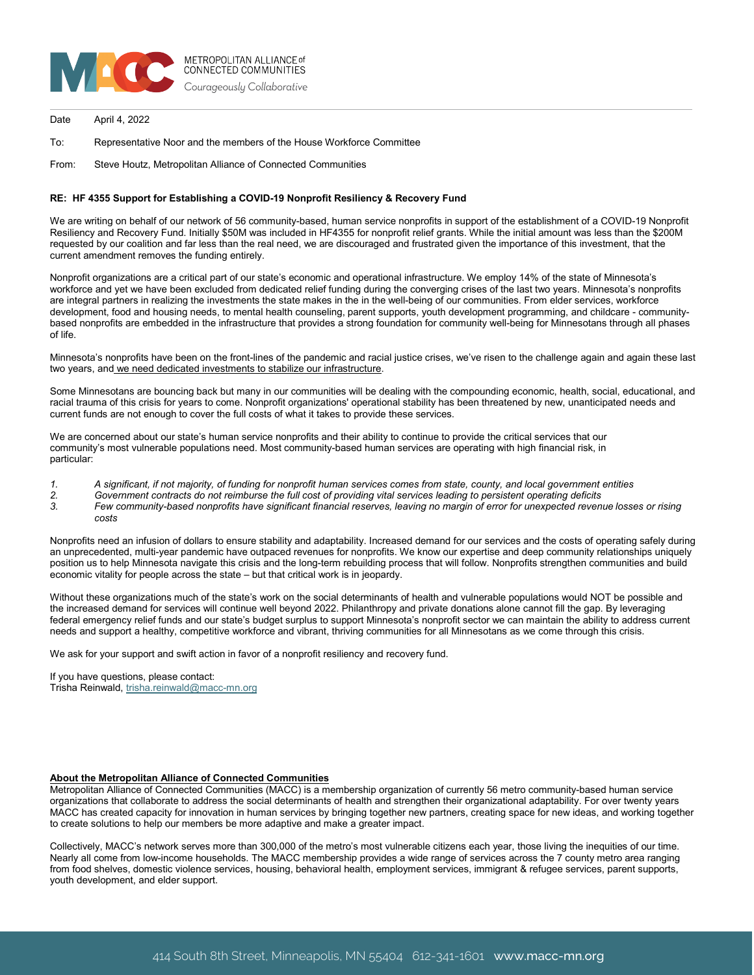

Date April 4, 2022

To: Representative Noor and the members of the House Workforce Committee

From: Steve Houtz, Metropolitan Alliance of Connected Communities

## **RE: HF 4355 Support for Establishing a COVID-19 Nonprofit Resiliency & Recovery Fund**

We are writing on behalf of our network of 56 community-based, human service nonprofits in support of the establishment of a COVID-19 Nonprofit Resiliency and Recovery Fund. Initially \$50M was included in HF4355 for nonprofit relief grants. While the initial amount was less than the \$200M requested by our coalition and far less than the real need, we are discouraged and frustrated given the importance of this investment, that the current amendment removes the funding entirely.

Nonprofit organizations are a critical part of our state's economic and operational infrastructure. We employ 14% of the state of Minnesota's workforce and yet we have been excluded from dedicated relief funding during the converging crises of the last two years. Minnesota's nonprofits are integral partners in realizing the investments the state makes in the in the well-being of our communities. From elder services, workforce development, food and housing needs, to mental health counseling, parent supports, youth development programming, and childcare - communitybased nonprofits are embedded in the infrastructure that provides a strong foundation for community well-being for Minnesotans through all phases of life.

Minnesota's nonprofits have been on the front-lines of the pandemic and racial justice crises, we've risen to the challenge again and again these last two years, and we need dedicated investments to stabilize our infrastructure.

Some Minnesotans are bouncing back but many in our communities will be dealing with the compounding economic, health, social, educational, and racial trauma of this crisis for years to come. Nonprofit organizations' operational stability has been threatened by new, unanticipated needs and current funds are not enough to cover the full costs of what it takes to provide these services.

We are concerned about our state's human service nonprofits and their ability to continue to provide the critical services that our community's most vulnerable populations need. Most community-based human services are operating with high financial risk, in particular:

- *1. A significant, if not majority, of funding for nonprofit human services comes from state, county, and local government entities*
- *2. Government contracts do not reimburse the full cost of providing vital services leading to persistent operating deficits*
- *3. Few community-based nonprofits have significant financial reserves, leaving no margin of error for unexpected revenue losses or rising costs*

Nonprofits need an infusion of dollars to ensure stability and adaptability. Increased demand for our services and the costs of operating safely during an unprecedented, multi-year pandemic have outpaced revenues for nonprofits. We know our expertise and deep community relationships uniquely position us to help Minnesota navigate this crisis and the long-term rebuilding process that will follow. Nonprofits strengthen communities and build economic vitality for people across the state – but that critical work is in jeopardy.

Without these organizations much of the state's work on the social determinants of health and vulnerable populations would NOT be possible and the increased demand for services will continue well beyond 2022. Philanthropy and private donations alone cannot fill the gap. By leveraging federal emergency relief funds and our state's budget surplus to support Minnesota's nonprofit sector we can maintain the ability to address current needs and support a healthy, competitive workforce and vibrant, thriving communities for all Minnesotans as we come through this crisis.

We ask for your support and swift action in favor of a nonprofit resiliency and recovery fund.

If you have questions, please contact: Trisha Reinwald[, trisha.reinwald@macc-mn.org](mailto:trisha.reinwald@macc-mn.org)

## **About the Metropolitan Alliance of Connected Communities**

Metropolitan Alliance of Connected Communities (MACC) is a membership organization of currently 56 metro community-based human service organizations that collaborate to address the social determinants of health and strengthen their organizational adaptability. For over twenty years MACC has created capacity for innovation in human services by bringing together new partners, creating space for new ideas, and working together to create solutions to help our members be more adaptive and make a greater impact.

Collectively, MACC's network serves more than 300,000 of the metro's most vulnerable citizens each year, those living the inequities of our time. Nearly all come from low-income households. The MACC membership provides a wide range of services across the 7 county metro area ranging from food shelves, domestic violence services, housing, behavioral health, employment services, immigrant & refugee services, parent supports, youth development, and elder support.